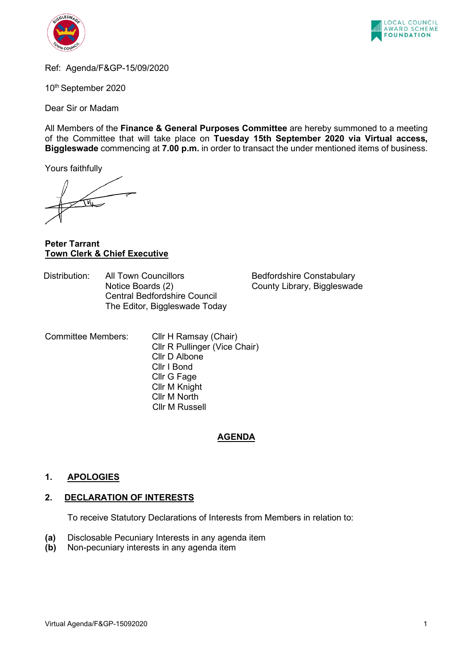



Ref: Agenda/F&GP-15/09/2020

10th September 2020

Dear Sir or Madam

All Members of the **Finance & General Purposes Committee** are hereby summoned to a meeting of the Committee that will take place on **Tuesday 15th September 2020 via Virtual access, Biggleswade** commencing at **7.00 p.m.** in order to transact the under mentioned items of business.

Yours faithfully

**Peter Tarrant Town Clerk & Chief Executive**

Distribution: All Town Councillors Bedfordshire Constabulary<br>Notice Boards (2) Sounty Library, Biggleswad Central Bedfordshire Council The Editor, Biggleswade Today

County Library, Biggleswade

Committee Members: Cllr H Ramsay (Chair) Cllr R Pullinger (Vice Chair) Cllr D Albone Cllr I Bond Cllr G Fage Cllr M Knight Cllr M North Cllr M Russell

#### **AGENDA**

## **1. APOLOGIES**

#### **2. DECLARATION OF INTERESTS**

To receive Statutory Declarations of Interests from Members in relation to:

- **(a)** Disclosable Pecuniary Interests in any agenda item
- **(b)** Non-pecuniary interests in any agenda item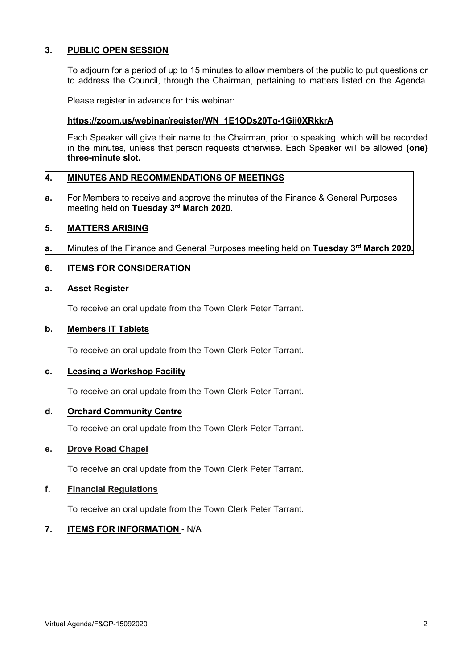## **3. PUBLIC OPEN SESSION**

To adjourn for a period of up to 15 minutes to allow members of the public to put questions or to address the Council, through the Chairman, pertaining to matters listed on the Agenda.

Please register in advance for this webinar:

## **[https://zoom.us/webinar/register/WN\\_1E1ODs20Tq-1Gij0XRkkrA](https://zoom.us/webinar/register/WN_1E1ODs20Tq-1Gij0XRkkrA)**

Each Speaker will give their name to the Chairman, prior to speaking, which will be recorded in the minutes, unless that person requests otherwise. Each Speaker will be allowed **(one) three-minute slot.**

## **4. MINUTES AND RECOMMENDATIONS OF MEETINGS**

**a.** [For Members to receive and approve the minutes of the Finance & General Purposes](#page-3-0)  meeting held on **Tuesday 3rd March 2020.**

#### **5. MATTERS ARISING**

**a.** Minutes of the Finance and General Purposes meeting held on **Tuesday 3rd March 2020.**

## **6. ITEMS FOR CONSIDERATION**

#### **a. Asset Register**

To receive an oral update from the Town Clerk Peter Tarrant.

## **b. Members IT Tablets**

To receive an oral update from the Town Clerk Peter Tarrant.

#### **c. Leasing a Workshop Facility**

To receive an oral update from the Town Clerk Peter Tarrant.

#### **d. Orchard Community Centre**

To receive an oral update from the Town Clerk Peter Tarrant.

#### **e. Drove Road Chapel**

To receive an oral update from the Town Clerk Peter Tarrant.

#### **f. Financial Regulations**

To receive an oral update from the Town Clerk Peter Tarrant.

## **7. ITEMS FOR INFORMATION** - N/A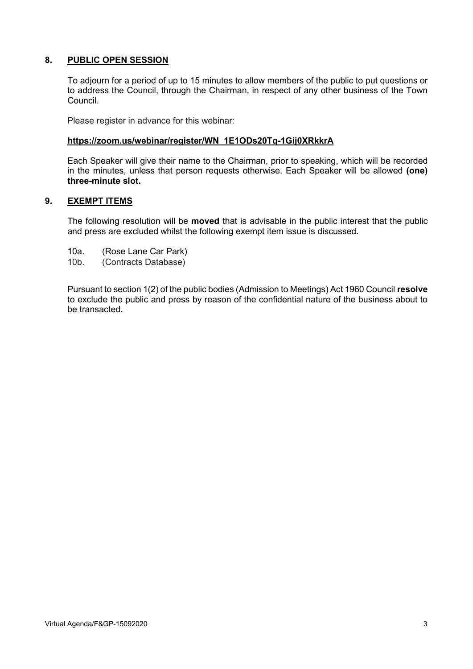## **8. PUBLIC OPEN SESSION**

To adjourn for a period of up to 15 minutes to allow members of the public to put questions or to address the Council, through the Chairman, in respect of any other business of the Town Council.

Please register in advance for this webinar:

## **[https://zoom.us/webinar/register/WN\\_1E1ODs20Tq-1Gij0XRkkrA](https://zoom.us/webinar/register/WN_1E1ODs20Tq-1Gij0XRkkrA)**

Each Speaker will give their name to the Chairman, prior to speaking, which will be recorded in the minutes, unless that person requests otherwise. Each Speaker will be allowed **(one) three-minute slot.**

## **9. EXEMPT ITEMS**

The following resolution will be **moved** that is advisable in the public interest that the public and press are excluded whilst the following exempt item issue is discussed.

- 10a. (Rose Lane Car Park)
- 10b. (Contracts Database)

Pursuant to section 1(2) of the public bodies (Admission to Meetings) Act 1960 Council **resolve** to exclude the public and press by reason of the confidential nature of the business about to be transacted.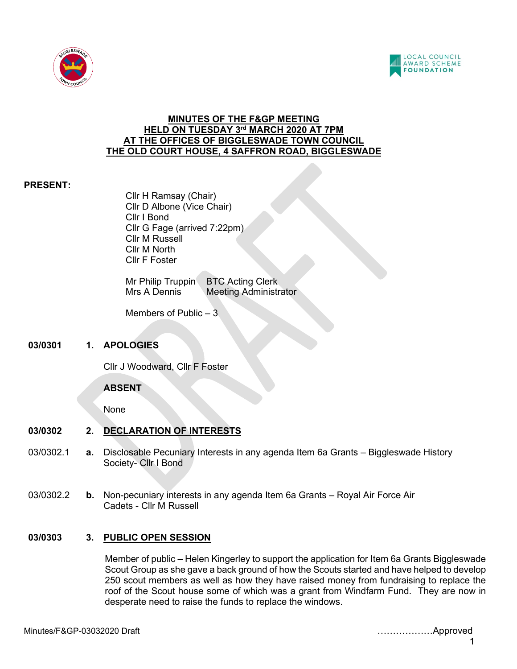<span id="page-3-0"></span>



## **MINUTES OF THE F&GP MEETING HELD ON TUESDAY 3rd MARCH 2020 AT 7PM AT THE OFFICES OF BIGGLESWADE TOWN COUNCIL THE OLD COURT HOUSE, 4 SAFFRON ROAD, BIGGLESWADE**

## **PRESENT:**

Cllr H Ramsay (Chair) Cllr D Albone (Vice Chair) Cllr I Bond Cllr G Fage (arrived 7:22pm) Cllr M Russell Cllr M North Cllr F Foster

Mr Philip Truppin BTC Acting Clerk Mrs A Dennis Meeting Administrator

Members of Public – 3

## **03/0301 1. APOLOGIES**

Cllr J Woodward, Cllr F Foster

## **ABSENT**

None

# **03/0302 2. DECLARATION OF INTERESTS**

- 03/0302.1 **a.** Disclosable Pecuniary Interests in any agenda Item 6a Grants Biggleswade History Society- Cllr I Bond
- 03/0302.2 **b.** Non-pecuniary interests in any agenda Item 6a Grants Royal Air Force Air Cadets - Cllr M Russell

# **03/0303 3. PUBLIC OPEN SESSION**

Member of public – Helen Kingerley to support the application for Item 6a Grants Biggleswade Scout Group as she gave a back ground of how the Scouts started and have helped to develop 250 scout members as well as how they have raised money from fundraising to replace the roof of the Scout house some of which was a grant from Windfarm Fund. They are now in desperate need to raise the funds to replace the windows.

1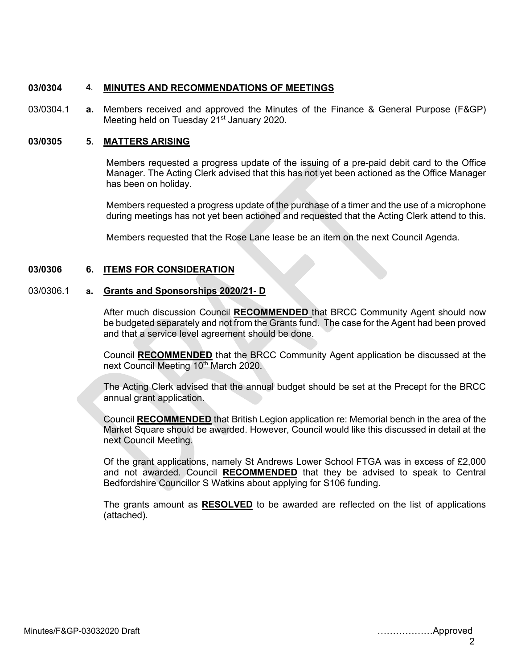### **03/0304 4**. **MINUTES AND RECOMMENDATIONS OF MEETINGS**

03/0304.1 **a.** Members received and approved the Minutes of the Finance & General Purpose (F&GP) Meeting held on Tuesday 21<sup>st</sup> January 2020.

#### **03/0305 5. MATTERS ARISING**

Members requested a progress update of the issuing of a pre-paid debit card to the Office Manager. The Acting Clerk advised that this has not yet been actioned as the Office Manager has been on holiday.

Members requested a progress update of the purchase of a timer and the use of a microphone during meetings has not yet been actioned and requested that the Acting Clerk attend to this.

Members requested that the Rose Lane lease be an item on the next Council Agenda.

## **03/0306 6. ITEMS FOR CONSIDERATION**

#### 03/0306.1 **a. Grants and Sponsorships 2020/21- D**

After much discussion Council **RECOMMENDED** that BRCC Community Agent should now be budgeted separately and not from the Grants fund. The case for the Agent had been proved and that a service level agreement should be done.

Council **RECOMMENDED** that the BRCC Community Agent application be discussed at the next Council Meeting 10<sup>th</sup> March 2020.

The Acting Clerk advised that the annual budget should be set at the Precept for the BRCC annual grant application.

Council **RECOMMENDED** that British Legion application re: Memorial bench in the area of the Market Square should be awarded. However, Council would like this discussed in detail at the next Council Meeting.

Of the grant applications, namely St Andrews Lower School FTGA was in excess of £2,000 and not awarded. Council **RECOMMENDED** that they be advised to speak to Central Bedfordshire Councillor S Watkins about applying for S106 funding.

The grants amount as **RESOLVED** to be awarded are reflected on the list of applications (attached).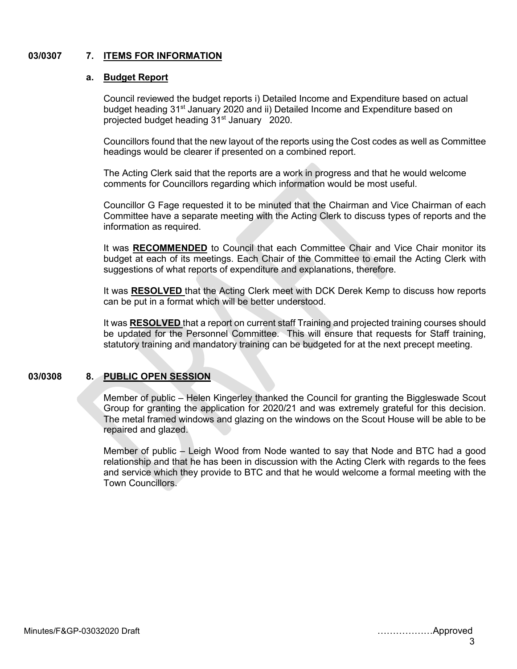#### **03/0307 7. 7. ITEMS FOR INFORMATION**

#### **a. Budget Report**

Council reviewed the budget reports i) Detailed Income and Expenditure based on actual budget heading 31<sup>st</sup> January 2020 and ii) Detailed Income and Expenditure based on projected budget heading 31<sup>st</sup> January 2020.

Councillors found that the new layout of the reports using the Cost codes as well as Committee headings would be clearer if presented on a combined report.

The Acting Clerk said that the reports are a work in progress and that he would welcome comments for Councillors regarding which information would be most useful.

Councillor G Fage requested it to be minuted that the Chairman and Vice Chairman of each Committee have a separate meeting with the Acting Clerk to discuss types of reports and the information as required.

It was **RECOMMENDED** to Council that each Committee Chair and Vice Chair monitor its budget at each of its meetings. Each Chair of the Committee to email the Acting Clerk with suggestions of what reports of expenditure and explanations, therefore.

It was **RESOLVED** that the Acting Clerk meet with DCK Derek Kemp to discuss how reports can be put in a format which will be better understood.

It was **RESOLVED** that a report on current staff Training and projected training courses should be updated for the Personnel Committee. This will ensure that requests for Staff training, statutory training and mandatory training can be budgeted for at the next precept meeting.

## **03/0308 8. PUBLIC OPEN SESSION**

Member of public – Helen Kingerley thanked the Council for granting the Biggleswade Scout Group for granting the application for 2020/21 and was extremely grateful for this decision. The metal framed windows and glazing on the windows on the Scout House will be able to be repaired and glazed.

Member of public – Leigh Wood from Node wanted to say that Node and BTC had a good relationship and that he has been in discussion with the Acting Clerk with regards to the fees and service which they provide to BTC and that he would welcome a formal meeting with the Town Councillors.